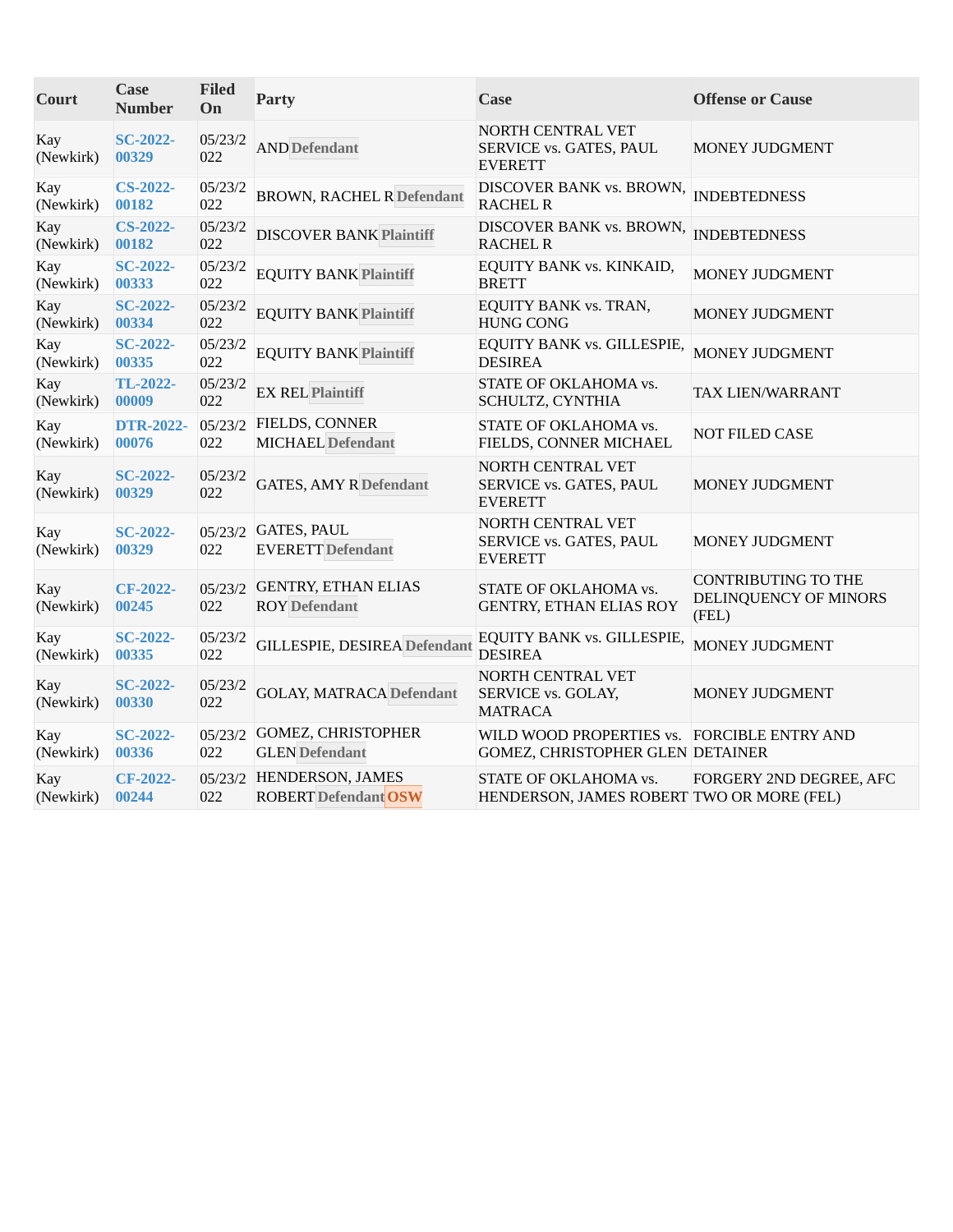| Court            | <b>Case</b><br><b>Number</b> | <b>Filed</b><br>On | <b>Party</b>                                            | <b>Case</b>                                                                     | <b>Offense or Cause</b>                                      |
|------------------|------------------------------|--------------------|---------------------------------------------------------|---------------------------------------------------------------------------------|--------------------------------------------------------------|
| Kay<br>(Newkirk) | <b>SC-2022-</b><br>00329     | 05/23/2<br>022     | <b>AND Defendant</b>                                    | NORTH CENTRAL VET<br>SERVICE vs. GATES, PAUL<br><b>EVERETT</b>                  | MONEY JUDGMENT                                               |
| Kay<br>(Newkirk) | <b>CS-2022-</b><br>00182     | 05/23/2<br>022     | <b>BROWN, RACHEL R Defendant</b>                        | DISCOVER BANK vs. BROWN,<br><b>RACHEL R</b>                                     | <b>INDEBTEDNESS</b>                                          |
| Kay<br>(Newkirk) | <b>CS-2022-</b><br>00182     | 05/23/2<br>022     | <b>DISCOVER BANK Plaintiff</b>                          | DISCOVER BANK vs. BROWN,<br><b>RACHEL R</b>                                     | <b>INDEBTEDNESS</b>                                          |
| Kay<br>(Newkirk) | <b>SC-2022-</b><br>00333     | 05/23/2<br>022     | <b>EQUITY BANK Plaintiff</b>                            | EQUITY BANK vs. KINKAID,<br><b>BRETT</b>                                        | MONEY JUDGMENT                                               |
| Kay<br>(Newkirk) | <b>SC-2022-</b><br>00334     | 05/23/2<br>022     | <b>EQUITY BANK Plaintiff</b>                            | EQUITY BANK vs. TRAN,<br><b>HUNG CONG</b>                                       | MONEY JUDGMENT                                               |
| Kay<br>(Newkirk) | <b>SC-2022-</b><br>00335     | 05/23/2<br>022     | <b>EQUITY BANK Plaintiff</b>                            | EQUITY BANK vs. GILLESPIE,<br><b>DESIREA</b>                                    | MONEY JUDGMENT                                               |
| Kay<br>(Newkirk) | TL-2022-<br>00009            | 05/23/2<br>022     | <b>EX REL Plaintiff</b>                                 | STATE OF OKLAHOMA vs.<br>SCHULTZ, CYNTHIA                                       | TAX LIEN/WARRANT                                             |
| Kay<br>(Newkirk) | <b>DTR-2022-</b><br>00076    | 05/23/2<br>022     | FIELDS, CONNER<br><b>MICHAEL</b> Defendant              | STATE OF OKLAHOMA vs.<br>FIELDS, CONNER MICHAEL                                 | NOT FILED CASE                                               |
| Kay<br>(Newkirk) | <b>SC-2022-</b><br>00329     | 05/23/2<br>022     | <b>GATES, AMY R Defendant</b>                           | NORTH CENTRAL VET<br>SERVICE vs. GATES, PAUL<br><b>EVERETT</b>                  | MONEY JUDGMENT                                               |
| Kay<br>(Newkirk) | <b>SC-2022-</b><br>00329     | 05/23/2<br>022     | <b>GATES, PAUL</b><br><b>EVERETT</b> Defendant          | NORTH CENTRAL VET<br>SERVICE vs. GATES, PAUL<br><b>EVERETT</b>                  | <b>MONEY JUDGMENT</b>                                        |
| Kay<br>(Newkirk) | CF-2022-<br>00245            | 05/23/2<br>022     | <b>GENTRY, ETHAN ELIAS</b><br><b>ROY</b> Defendant      | STATE OF OKLAHOMA vs.<br><b>GENTRY, ETHAN ELIAS ROY</b>                         | <b>CONTRIBUTING TO THE</b><br>DELINQUENCY OF MINORS<br>(FEL) |
| Kay<br>(Newkirk) | <b>SC-2022-</b><br>00335     | 05/23/2<br>022     | <b>GILLESPIE, DESIREA Defendant</b>                     | EQUITY BANK vs. GILLESPIE,<br><b>DESIREA</b>                                    | <b>MONEY JUDGMENT</b>                                        |
| Kay<br>(Newkirk) | <b>SC-2022-</b><br>00330     | 05/23/2<br>022     | <b>GOLAY, MATRACA Defendant</b>                         | NORTH CENTRAL VET<br>SERVICE vs. GOLAY,<br><b>MATRACA</b>                       | MONEY JUDGMENT                                               |
| Kay<br>(Newkirk) | <b>SC-2022-</b><br>00336     | 05/23/2<br>022     | <b>GOMEZ, CHRISTOPHER</b><br><b>GLEN</b> Defendant      | WILD WOOD PROPERTIES vs. FORCIBLE ENTRY AND<br>GOMEZ, CHRISTOPHER GLEN DETAINER |                                                              |
| Kay<br>(Newkirk) | CF-2022-<br>00244            | 022                | 05/23/2 HENDERSON, JAMES<br><b>ROBERT Defendant OSW</b> | STATE OF OKLAHOMA vs.<br>HENDERSON, JAMES ROBERT TWO OR MORE (FEL)              | FORGERY 2ND DEGREE, AFC                                      |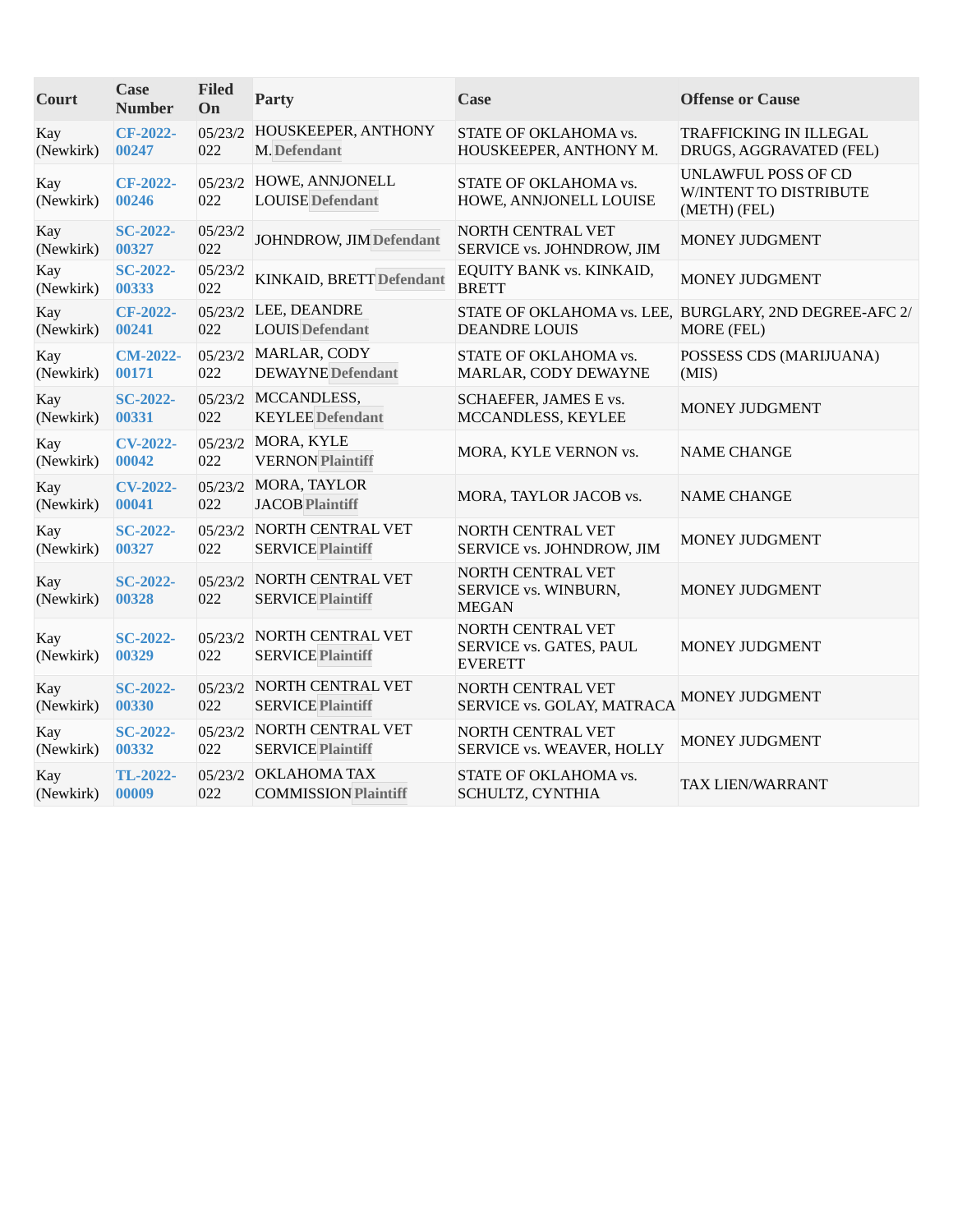| Court            | <b>Case</b><br><b>Number</b> | <b>Filed</b><br>On | <b>Party</b>                                   | Case                                                           | <b>Offense or Cause</b>                                              |
|------------------|------------------------------|--------------------|------------------------------------------------|----------------------------------------------------------------|----------------------------------------------------------------------|
| Kay<br>(Newkirk) | <b>CF-2022-</b><br>00247     | 05/23/2<br>022     | HOUSKEEPER, ANTHONY<br>M. Defendant            | STATE OF OKLAHOMA vs.<br>HOUSKEEPER, ANTHONY M.                | TRAFFICKING IN ILLEGAL<br>DRUGS, AGGRAVATED (FEL)                    |
| Kay<br>(Newkirk) | <b>CF-2022-</b><br>00246     | 05/23/2<br>022     | HOWE, ANNJONELL<br><b>LOUISE</b> Defendant     | STATE OF OKLAHOMA vs.<br>HOWE, ANNJONELL LOUISE                | UNLAWFUL POSS OF CD<br>W/INTENT TO DISTRIBUTE<br>(METH) (FEL)        |
| Kay<br>(Newkirk) | <b>SC-2022-</b><br>00327     | 05/23/2<br>022     | JOHNDROW, JIM Defendant                        | <b>NORTH CENTRAL VET</b><br>SERVICE vs. JOHNDROW, JIM          | MONEY JUDGMENT                                                       |
| Kay<br>(Newkirk) | <b>SC-2022-</b><br>00333     | 05/23/2<br>022     | KINKAID, BRETT Defendant                       | EQUITY BANK vs. KINKAID,<br><b>BRETT</b>                       | <b>MONEY JUDGMENT</b>                                                |
| Kay<br>(Newkirk) | CF-2022-<br>00241            | 022                | 05/23/2 LEE, DEANDRE<br><b>LOUIS Defendant</b> | <b>DEANDRE LOUIS</b>                                           | STATE OF OKLAHOMA vs. LEE, BURGLARY, 2ND DEGREE-AFC 2/<br>MORE (FEL) |
| Kay<br>(Newkirk) | <b>CM-2022-</b><br>00171     | 05/23/2<br>022     | MARLAR, CODY<br><b>DEWAYNE</b> Defendant       | STATE OF OKLAHOMA vs.<br>MARLAR, CODY DEWAYNE                  | POSSESS CDS (MARIJUANA)<br>(MIS)                                     |
| Kay<br>(Newkirk) | <b>SC-2022-</b><br>00331     | 022                | 05/23/2 MCCANDLESS,<br><b>KEYLEE</b> Defendant | SCHAEFER, JAMES E vs.<br>MCCANDLESS, KEYLEE                    | MONEY JUDGMENT                                                       |
| Kay<br>(Newkirk) | <b>CV-2022-</b><br>00042     | 05/23/2<br>022     | MORA, KYLE<br><b>VERNON Plaintiff</b>          | MORA, KYLE VERNON vs.                                          | <b>NAME CHANGE</b>                                                   |
| Kay<br>(Newkirk) | <b>CV-2022-</b><br>00041     | 05/23/2<br>022     | MORA, TAYLOR<br><b>JACOB</b> Plaintiff         | MORA, TAYLOR JACOB vs.                                         | <b>NAME CHANGE</b>                                                   |
| Kay<br>(Newkirk) | <b>SC-2022-</b><br>00327     | 05/23/2<br>022     | NORTH CENTRAL VET<br><b>SERVICE Plaintiff</b>  | <b>NORTH CENTRAL VET</b><br>SERVICE vs. JOHNDROW, JIM          | <b>MONEY JUDGMENT</b>                                                |
| Kay<br>(Newkirk) | <b>SC-2022-</b><br>00328     | 05/23/2<br>022     | NORTH CENTRAL VET<br><b>SERVICE Plaintiff</b>  | NORTH CENTRAL VET<br>SERVICE vs. WINBURN,<br><b>MEGAN</b>      | MONEY JUDGMENT                                                       |
| Kay<br>(Newkirk) | <b>SC-2022-</b><br>00329     | 05/23/2<br>022     | NORTH CENTRAL VET<br><b>SERVICE Plaintiff</b>  | NORTH CENTRAL VET<br>SERVICE vs. GATES, PAUL<br><b>EVERETT</b> | MONEY JUDGMENT                                                       |
| Kay<br>(Newkirk) | <b>SC-2022-</b><br>00330     | 05/23/2<br>022     | NORTH CENTRAL VET<br><b>SERVICE Plaintiff</b>  | NORTH CENTRAL VET<br>SERVICE vs. GOLAY, MATRACA                | MONEY JUDGMENT                                                       |
| Kay<br>(Newkirk) | <b>SC-2022-</b><br>00332     | 05/23/2<br>022     | NORTH CENTRAL VET<br><b>SERVICE Plaintiff</b>  | <b>NORTH CENTRAL VET</b><br>SERVICE vs. WEAVER, HOLLY          | MONEY JUDGMENT                                                       |
| Kay<br>(Newkirk) | TL-2022-<br>00009            | 05/23/2<br>022     | OKLAHOMATAX<br><b>COMMISSION Plaintiff</b>     | STATE OF OKLAHOMA vs.<br>SCHULTZ, CYNTHIA                      | TAX LIEN/WARRANT                                                     |